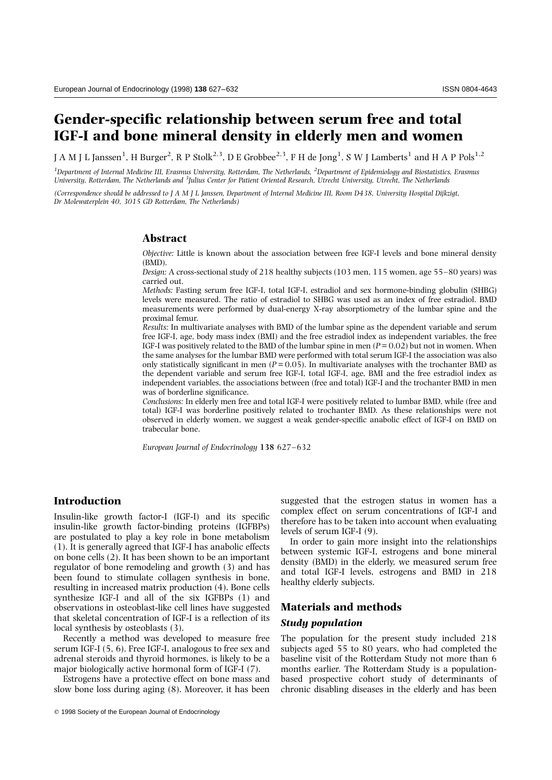# **Gender-specific relationship between serum free and total IGF-I and bone mineral density in elderly men and women**

J A M J L Janssen<sup>1</sup>, H Burger<sup>2</sup>, R P Stolk<sup>2,3</sup>, D E Grobbee<sup>2,3</sup>, F H de Jong<sup>1</sup>, S W J Lamberts<sup>1</sup> and H A P Pols<sup>1,2</sup>

*1 Department of Internal Medicine III, Erasmus University, Rotterdam, The Netherlands, <sup>2</sup> Department of Epidemiology and Biostatistics, Erasmus University, Rotterdam, The Netherlands and <sup>3</sup> Julius Center for Patient Oriented Research, Utrecht University, Utrecht, The Netherlands*

*(Correspondence should be addressed to J A M J L Janssen, Department of Internal Medicine III, Room D438, University Hospital Dijkzigt, Dr Molewaterplein 40, 3015 GD Rotterdam, The Netherlands)*

## **Abstract**

*Objective:* Little is known about the association between free IGF-I levels and bone mineral density (BMD).

*Design:* A cross-sectional study of 218 healthy subjects (103 men, 115 women, age 55–80 years) was carried out.

*Methods:* Fasting serum free IGF-I, total IGF-I, estradiol and sex hormone-binding globulin (SHBG) levels were measured. The ratio of estradiol to SHBG was used as an index of free estradiol. BMD measurements were performed by dual-energy X-ray absorptiometry of the lumbar spine and the proximal femur.

*Results:* In multivariate analyses with BMD of the lumbar spine as the dependent variable and serum free IGF-I, age, body mass index (BMI) and the free estradiol index as independent variables, the free IGF-I was positively related to the BMD of the lumbar spine in men (*P*= 0.02) but not in women. When the same analyses for the lumbar BMD were performed with total serum IGF-I the association was also only statistically significant in men  $(P = 0.05)$ . In multivariate analyses with the trochanter BMD as the dependent variable and serum free IGF-I, total IGF-I, age, BMI and the free estradiol index as independent variables, the associations between (free and total) IGF-I and the trochanter BMD in men was of borderline significance.

*Conclusions:* In elderly men free and total IGF-I were positively related to lumbar BMD, while (free and total) IGF-I was borderline positively related to trochanter BMD. As these relationships were not observed in elderly women, we suggest a weak gender-specific anabolic effect of IGF-I on BMD on trabecular bone.

*European Journal of Endocrinology* **138** 627–632

# **Introduction**

Insulin-like growth factor-I (IGF-I) and its specific insulin-like growth factor-binding proteins (IGFBPs) are postulated to play a key role in bone metabolism (1). It is generally agreed that IGF-I has anabolic effects on bone cells (2). It has been shown to be an important regulator of bone remodeling and growth (3) and has been found to stimulate collagen synthesis in bone, resulting in increased matrix production (4). Bone cells synthesize IGF-I and all of the six IGFBPs (1) and observations in osteoblast-like cell lines have suggested that skeletal concentration of IGF-I is a reflection of its local synthesis by osteoblasts (3).

Recently a method was developed to measure free serum IGF-I (5, 6). Free IGF-I, analogous to free sex and adrenal steroids and thyroid hormones, is likely to be a major biologically active hormonal form of IGF-I (7).

Estrogens have a protective effect on bone mass and slow bone loss during aging (8). Moreover, it has been suggested that the estrogen status in women has a complex effect on serum concentrations of IGF-I and therefore has to be taken into account when evaluating levels of serum IGF-I (9).

In order to gain more insight into the relationships between systemic IGF-I, estrogens and bone mineral density (BMD) in the elderly, we measured serum free and total IGF-I levels, estrogens and BMD in 218 healthy elderly subjects.

## **Materials and methods**

#### *Study population*

The population for the present study included 218 subjects aged 55 to 80 years, who had completed the baseline visit of the Rotterdam Study not more than 6 months earlier. The Rotterdam Study is a populationbased prospective cohort study of determinants of chronic disabling diseases in the elderly and has been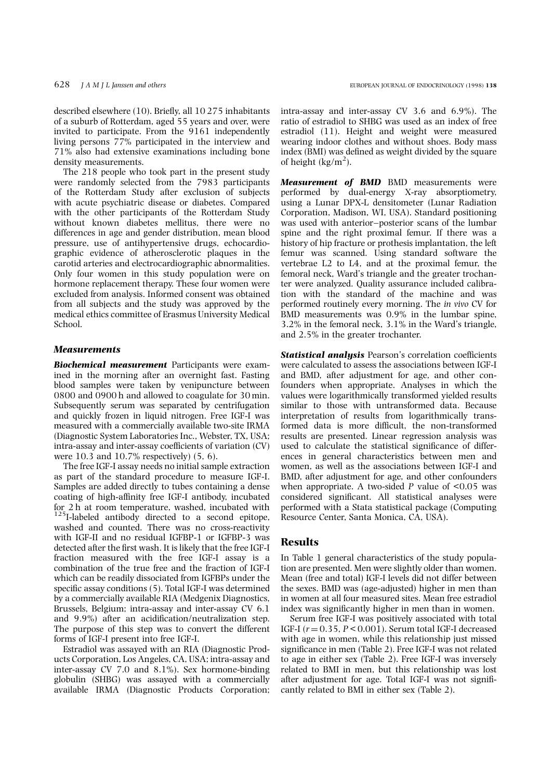described elsewhere (10). Briefly, all 10 275 inhabitants of a suburb of Rotterdam, aged 55 years and over, were invited to participate. From the 9161 independently living persons 77% participated in the interview and 71% also had extensive examinations including bone density measurements.

The 218 people who took part in the present study were randomly selected from the 7983 participants of the Rotterdam Study after exclusion of subjects with acute psychiatric disease or diabetes. Compared with the other participants of the Rotterdam Study without known diabetes mellitus, there were no differences in age and gender distribution, mean blood pressure, use of antihypertensive drugs, echocardiographic evidence of atherosclerotic plaques in the carotid arteries and electrocardiographic abnormalities. Only four women in this study population were on hormone replacement therapy. These four women were excluded from analysis. Informed consent was obtained from all subjects and the study was approved by the medical ethics committee of Erasmus University Medical School.

#### *Measurements*

*Biochemical measurement* Participants were examined in the morning after an overnight fast. Fasting blood samples were taken by venipuncture between 0800 and 0900 h and allowed to coagulate for 30 min. Subsequently serum was separated by centrifugation and quickly frozen in liquid nitrogen. Free IGF-I was measured with a commercially available two-site IRMA (Diagnostic System Laboratories Inc., Webster, TX, USA; intra-assay and inter-assay coefficients of variation (CV) were 10.3 and 10.7% respectively) (5, 6).

The free IGF-I assay needs no initial sample extraction as part of the standard procedure to measure IGF-I. Samples are added directly to tubes containing a dense coating of high-affinity free IGF-I antibody, incubated for 2 h at room temperature, washed, incubated with  $125$ I-labeled antibody directed to a second epitope, washed and counted. There was no cross-reactivity with IGF-II and no residual IGFBP-1 or IGFBP-3 was detected after the first wash. It is likely that the free IGF-I fraction measured with the free IGF-I assay is a combination of the true free and the fraction of IGF-I which can be readily dissociated from IGFBPs under the specific assay conditions (5). Total IGF-I was determined by a commercially available RIA (Medgenix Diagnostics, Brussels, Belgium; intra-assay and inter-assay CV 6.1 and 9.9%) after an acidification/neutralization step. The purpose of this step was to convert the different forms of IGF-I present into free IGF-I.

Estradiol was assayed with an RIA (Diagnostic Products Corporation, Los Angeles, CA, USA; intra-assay and inter-assay CV 7.0 and 8.1%). Sex hormone-binding globulin (SHBG) was assayed with a commercially available IRMA (Diagnostic Products Corporation; intra-assay and inter-assay CV 3.6 and 6.9%). The ratio of estradiol to SHBG was used as an index of free estradiol (11). Height and weight were measured wearing indoor clothes and without shoes. Body mass index (BMI) was defined as weight divided by the square of height  $(\text{kg/m}^2)$ .

*Measurement of BMD* BMD measurements were performed by dual-energy X-ray absorptiometry, using a Lunar DPX-L densitometer (Lunar Radiation Corporation, Madison, WI, USA). Standard positioning was used with anterior–posterior scans of the lumbar spine and the right proximal femur. If there was a history of hip fracture or prothesis implantation, the left femur was scanned. Using standard software the vertebrae L2 to L4, and at the proximal femur, the femoral neck, Ward's triangle and the greater trochanter were analyzed. Quality assurance included calibration with the standard of the machine and was performed routinely every morning. The *in vivo* CV for BMD measurements was 0.9% in the lumbar spine, 3.2% in the femoral neck, 3.1% in the Ward's triangle, and 2.5% in the greater trochanter.

*Statistical analysis* Pearson's correlation coefficients were calculated to assess the associations between IGF-I and BMD, after adjustment for age, and other confounders when appropriate. Analyses in which the values were logarithmically transformed yielded results similar to those with untransformed data. Because interpretation of results from logarithmically transformed data is more difficult, the non-transformed results are presented. Linear regression analysis was used to calculate the statistical significance of differences in general characteristics between men and women, as well as the associations between IGF-I and BMD, after adjustment for age, and other confounders when appropriate. A two-sided  $P$  value of  $\leq 0.05$  was considered significant. All statistical analyses were performed with a Stata statistical package (Computing Resource Center, Santa Monica, CA, USA).

### **Results**

In Table 1 general characteristics of the study population are presented. Men were slightly older than women. Mean (free and total) IGF-I levels did not differ between the sexes. BMD was (age-adjusted) higher in men than in women at all four measured sites. Mean free estradiol index was significantly higher in men than in women.

Serum free IGF-I was positively associated with total IGF-I  $(r = 0.35, P < 0.001)$ . Serum total IGF-I decreased with age in women, while this relationship just missed significance in men (Table 2). Free IGF-I was not related to age in either sex (Table 2). Free IGF-I was inversely related to BMI in men, but this relationship was lost after adjustment for age. Total IGF-I was not significantly related to BMI in either sex (Table 2).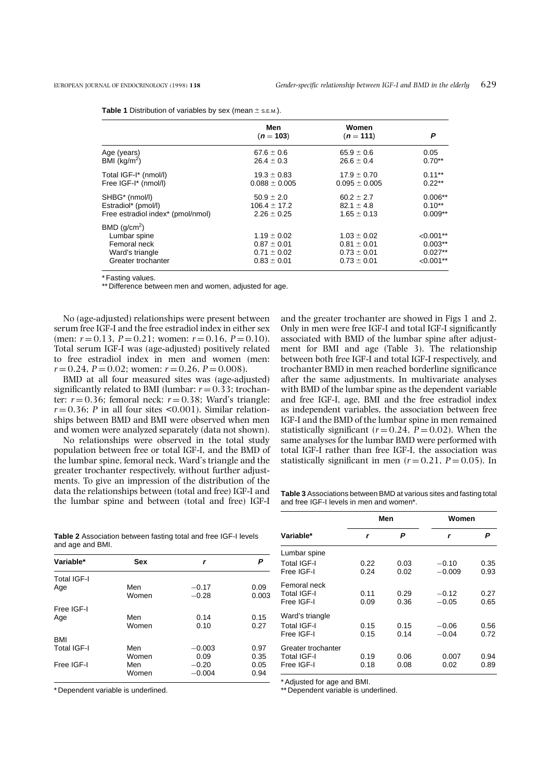|                                   | Men               | Women             |              |
|-----------------------------------|-------------------|-------------------|--------------|
|                                   | $(n = 103)$       | $(n = 111)$       | P            |
| Age (years)                       | $67.6 \pm 0.6$    | $65.9 \pm 0.6$    | 0.05         |
| BMI (kg/m <sup>2</sup> )          | $26.4 \pm 0.3$    | $26.6 \pm 0.4$    | $0.70**$     |
| Total IGF-I* (nmol/l)             | $19.3 \pm 0.83$   | $17.9 \pm 0.70$   | $0.11***$    |
| Free IGF-I* (nmol/l)              | $0.088 \pm 0.005$ | $0.095 \pm 0.005$ | $0.22**$     |
| SHBG* (nmol/l)                    | $50.9 \pm 2.0$    | $60.2 \pm 2.7$    | $0.006**$    |
| Estradiol* (pmol/l)               | $106.4 \pm 17.2$  | $82.1 \pm 4.8$    | $0.10**$     |
| Free estradiol index* (pmol/nmol) | $2.26 \pm 0.25$   | $1.65 \pm 0.13$   | $0.009**$    |
| BMD $(g/cm2)$                     |                   |                   |              |
| Lumbar spine                      | $1.19 \pm 0.02$   | $1.03 \pm 0.02$   | $< 0.001$ ** |
| Femoral neck                      | $0.87 \pm 0.01$   | $0.81 \pm 0.01$   | $0.003**$    |
| Ward's triangle                   | $0.71 \pm 0.02$   | $0.73 \pm 0.01$   | $0.027**$    |
| Greater trochanter                | $0.83 \pm 0.01$   | $0.73 \pm 0.01$   | $< 0.001**$  |

**Table 1** Distribution of variables by sex (mean  $\pm$  s.E.M.).

\* Fasting values.

\*\* Difference between men and women, adjusted for age.

No (age-adjusted) relationships were present between serum free IGF-I and the free estradiol index in either sex (men:  $r = 0.13$ ,  $P = 0.21$ ; women:  $r = 0.16$ ,  $P = 0.10$ ). Total serum IGF-I was (age-adjusted) positively related to free estradiol index in men and women (men:  $r = 0.24$ ,  $P = 0.02$ ; women:  $r = 0.26$ ,  $P = 0.008$ ).

BMD at all four measured sites was (age-adjusted) significantly related to BMI (lumbar:  $r = 0.33$ ; trochanter:  $r = 0.36$ ; femoral neck:  $r = 0.38$ ; Ward's triangle:  $r = 0.36$ ; *P* in all four sites <0.001). Similar relationships between BMD and BMI were observed when men and women were analyzed separately (data not shown).

No relationships were observed in the total study population between free or total IGF-I, and the BMD of the lumbar spine, femoral neck, Ward's triangle and the greater trochanter respectively, without further adjustments. To give an impression of the distribution of the data the relationships between (total and free) IGF-I and the lumbar spine and between (total and free) IGF-I

and the greater trochanter are showed in Figs 1 and 2. Only in men were free IGF-I and total IGF-I significantly associated with BMD of the lumbar spine after adjustment for BMI and age (Table 3). The relationship between both free IGF-I and total IGF-I respectively, and trochanter BMD in men reached borderline significance after the same adjustments. In multivariate analyses with BMD of the lumbar spine as the dependent variable and free IGF-I, age, BMI and the free estradiol index as independent variables, the association between free IGF-I and the BMD of the lumbar spine in men remained statistically significant ( $r = 0.24$ ,  $P = 0.02$ ). When the same analyses for the lumbar BMD were performed with total IGF-I rather than free IGF-I, the association was statistically significant in men  $(r=0.21, P=0.05)$ . In

**Table 3** Associations between BMD at various sites and fasting total and free IGF-I levels in men and women\*.

|                                                 | Men          |              | Women               |              |
|-------------------------------------------------|--------------|--------------|---------------------|--------------|
| Variable*                                       | r            | Ρ            | r                   | P            |
| Lumbar spine<br>Total IGF-I<br>Free IGF-I       | 0.22<br>0.24 | 0.03<br>0.02 | $-0.10$<br>$-0.009$ | 0.35<br>0.93 |
| Femoral neck<br>Total IGF-I<br>Free IGF-I       | 0.11<br>0.09 | 0.29<br>0.36 | $-0.12$<br>$-0.05$  | 0.27<br>0.65 |
| Ward's triangle<br>Total IGF-I<br>Free IGF-I    | 0.15<br>0.15 | 0.15<br>0.14 | $-0.06$<br>$-0.04$  | 0.56<br>0.72 |
| Greater trochanter<br>Total IGF-I<br>Free IGF-I | 0.19<br>0.18 | 0.06<br>0.08 | 0.007<br>0.02       | 0.94<br>0.89 |

**Table 2** Association between fasting total and free IGF-I levels and age and BMI.

| Variable*   | Sex   | r        |       |  |
|-------------|-------|----------|-------|--|
| Total IGF-I |       |          |       |  |
| Age         | Men   | $-0.17$  | 0.09  |  |
|             | Women | $-0.28$  | 0.003 |  |
| Free IGF-I  |       |          |       |  |
| Age         | Men   | 0.14     | 0.15  |  |
|             | Women | 0.10     | 0.27  |  |
| <b>BMI</b>  |       |          |       |  |
| Total IGF-I | Men   | $-0.003$ | 0.97  |  |
|             | Women | 0.09     | 0.35  |  |
| Free IGF-I  | Men   | $-0.20$  | 0.05  |  |
|             | Women | $-0.004$ | 0.94  |  |

\* Dependent variable is underlined.

\* Adjusted for age and BMI.

\*\* Dependent variable is underlined.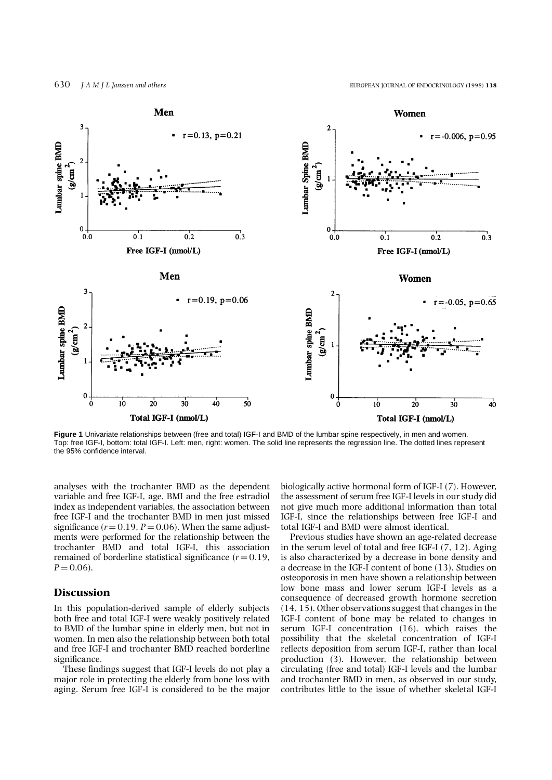

**Figure 1** Univariate relationships between (free and total) IGF-I and BMD of the lumbar spine respectively, in men and women. Top: free IGF-I, bottom: total IGF-I. Left: men, right: women. The solid line represents the regression line. The dotted lines represent the 95% confidence interval.

analyses with the trochanter BMD as the dependent variable and free IGF-I, age, BMI and the free estradiol index as independent variables, the association between free IGF-I and the trochanter BMD in men just missed significance  $(r = 0.19, P = 0.06)$ . When the same adjustments were performed for the relationship between the trochanter BMD and total IGF-I, this association remained of borderline statistical significance  $(r = 0.19,$  $P = 0.06$ .

## **Discussion**

In this population-derived sample of elderly subjects both free and total IGF-I were weakly positively related to BMD of the lumbar spine in elderly men, but not in women. In men also the relationship between both total and free IGF-I and trochanter BMD reached borderline significance.

These findings suggest that IGF-I levels do not play a major role in protecting the elderly from bone loss with aging. Serum free IGF-I is considered to be the major

biologically active hormonal form of IGF-I (7). However, the assessment of serum free IGF-I levels in our study did not give much more additional information than total IGF-I, since the relationships between free IGF-I and total IGF-I and BMD were almost identical.

Previous studies have shown an age-related decrease in the serum level of total and free IGF-I (7, 12). Aging is also characterized by a decrease in bone density and a decrease in the IGF-I content of bone (13). Studies on osteoporosis in men have shown a relationship between low bone mass and lower serum IGF-I levels as a consequence of decreased growth hormone secretion (14, 15). Other observations suggest that changes in the IGF-I content of bone may be related to changes in serum IGF-I concentration (16), which raises the possibility that the skeletal concentration of IGF-I reflects deposition from serum IGF-I, rather than local production (3). However, the relationship between circulating (free and total) IGF-I levels and the lumbar and trochanter BMD in men, as observed in our study, contributes little to the issue of whether skeletal IGF-I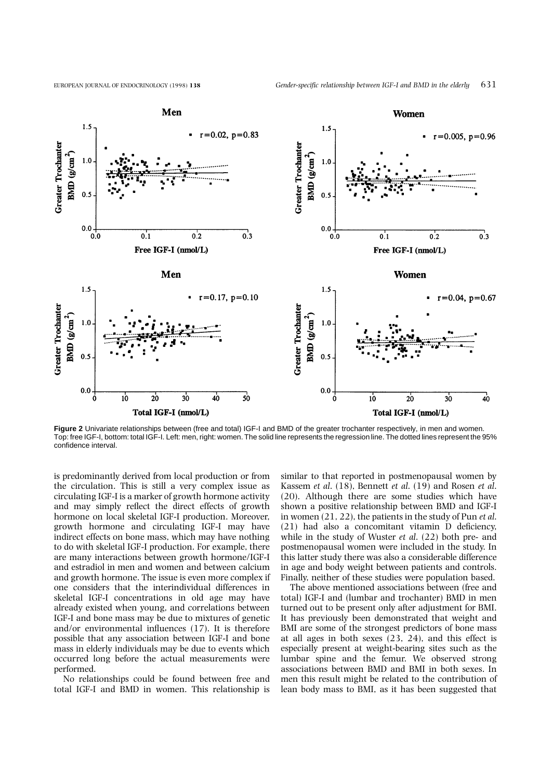

**Figure 2** Univariate relationships between (free and total) IGF-I and BMD of the greater trochanter respectively, in men and women. Top: free IGF-I, bottom: total IGF-I. Left: men, right: women. The solid line represents the regression line. The dotted lines represent the 95% confidence interval.

is predominantly derived from local production or from the circulation. This is still a very complex issue as circulating IGF-I is a marker of growth hormone activity and may simply reflect the direct effects of growth hormone on local skeletal IGF-I production. Moreover, growth hormone and circulating IGF-I may have indirect effects on bone mass, which may have nothing to do with skeletal IGF-I production. For example, there are many interactions between growth hormone/IGF-I and estradiol in men and women and between calcium and growth hormone. The issue is even more complex if one considers that the interindividual differences in skeletal IGF-I concentrations in old age may have already existed when young, and correlations between IGF-I and bone mass may be due to mixtures of genetic and/or environmental influences (17). It is therefore possible that any association between IGF-I and bone mass in elderly individuals may be due to events which occurred long before the actual measurements were performed.

No relationships could be found between free and total IGF-I and BMD in women. This relationship is similar to that reported in postmenopausal women by Kassem *et al*. (18), Bennett *et al*. (19) and Rosen *et al*. (20). Although there are some studies which have shown a positive relationship between BMD and IGF-I in women (21, 22), the patients in the study of Pun *et al*. (21) had also a concomitant vitamin D deficiency, while in the study of Wuster *et al*. (22) both pre- and postmenopausal women were included in the study. In this latter study there was also a considerable difference in age and body weight between patients and controls. Finally, neither of these studies were population based.

The above mentioned associations between (free and total) IGF-I and (lumbar and trochanter) BMD in men turned out to be present only after adjustment for BMI. It has previously been demonstrated that weight and BMI are some of the strongest predictors of bone mass at all ages in both sexes (23, 24), and this effect is especially present at weight-bearing sites such as the lumbar spine and the femur. We observed strong associations between BMD and BMI in both sexes. In men this result might be related to the contribution of lean body mass to BMI, as it has been suggested that